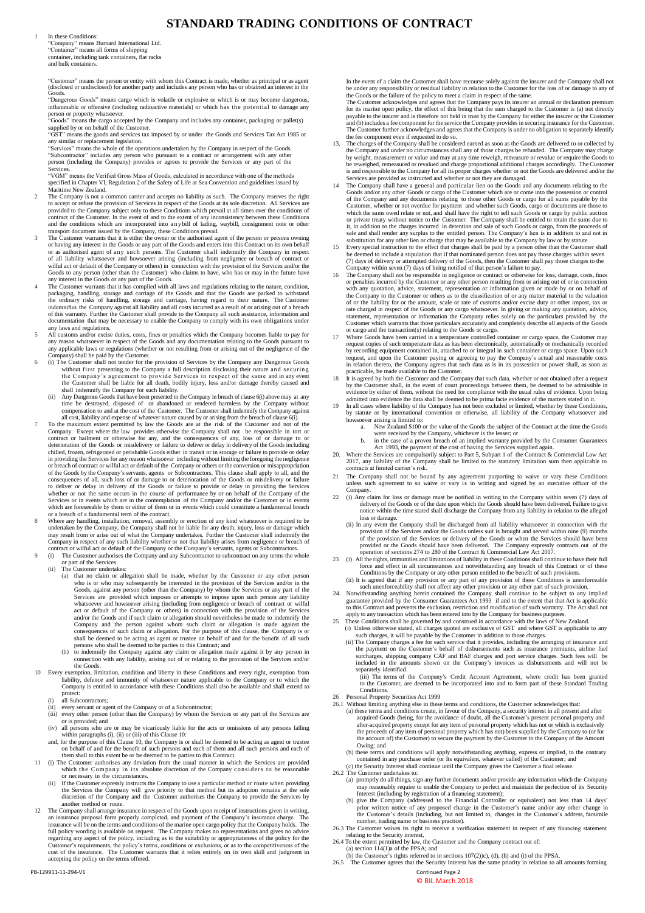PB-129911-11-294-V1 Continued Page 2

## © BIL March 2018

"Company" means Burnard International Ltd. "Container" means all forms of shipping container, including tank containers, flat racks and bulk containers.

## **STANDARD TRADING CONDITIONS OF CONTRACT**

In these Conditions:

"Customer" means the person or entity with whom this Contract is made, whether as principal or as agent (disclosed or undisclosed) for another party and includes any person who has or obtained an interest in the Goods.

"Services" means the whole of the operations undertaken by the Company in respect of the Goods. "Subcontractor" includes any person who pursuant to a contract or arrangement with any other person (including the Company) provides or agrees to provide the Services or any part of the **Services** 

"Dangerous Goods" means cargo which is volatile or explosive or which is or may become dangerous, inflammable or offensive (including radioactive materials) or which has the potential to damage any person or property whatsoever.

"Goods" means the cargo accepted by the Company and includes any container, packaging or pallet(s) supplied by or on behalf of the Customer.

"GST" means the goods and services tax imposed by or under the Goods and Services Tax Act 1985 or any similar or replacement legislation.

"VGM" means the Verified Gross Mass of Goods, calculated in accordance with one of the methods specified in Chapter VI, Regulation 2 of the Safety of Life at Sea Convention and guidelines issued by Maritime New Zealand.

- 2 The Company is not a common carrier and accepts no liability as such. The Company reserves the right to accept or refuse the provision of Services in respect of the Goods at its sole discretion. All Services are provided to the Company subject only to these Conditions which prevail at all times over the conditions of contract of the Customer. In the event of and to the extent of any inconsistency between these Conditions and the conditions which are incorporated into a n y bill of lading, waybill, consignment note or other transport document issued by the Company, these Conditions prevail.
- 3 The Customer warrants that it is either the owner or the authorised agent of the person or persons owning or having any interest in the Goods or any part of the Goods and enters into this Contract on its own behalf or as authorised agent of any such persons. The Customer shall indemnify the Company in respect of all liability whatsoever and howsoever arising (including from negligence or breach of contract or wilful act or default of the Company or others) in connection with the provision of the Services and/or the Goods to any person (other than the Customer) who claims to have, who has or may in the future have any interest in the Goods or any part of the Goods.
- 4 The Customer warrants that it has complied with all laws and regulations relating to the nature, condition, packaging, handling, storage and carriage of the Goods and that the Goods are packed to withstand the ordinary risks of handling, storage and carriage, having regard to their nature. The Customer indemnifies the Company against all liability and all costs incurred as a result of or arising out of a breach of this warranty. Further the Customer shall provide to the Company all such assistance, information and documentation that may be necessary to enable the Company to comply with its own obligations under any laws and regulations.
- 5 All customs and/or excise duties, costs, fines or penalties which the Company becomes liable to pay for any reason whatsoever in respect of the Goods and any documentation relating to the Goods pursuant to any applicable laws or regulations (whether or not resulting from or arising out of the negligence of the Company) shall be paid by the Customer.
- 6 (i) The Customer shall not tender for the provision of Services by the Company any Dangerous Goods without first presenting to the Company a full description disclosing their nature and securing the Company's agreement to provide Services in respect of the same and in any event the Customer shall be liable for all death, bodily injury, loss and/or damage thereby caused and shall indemnify the Company for such liability.
	- (ii) Any Dangerous Goods that have been presented to the Company in breach of clause 6(i) above may at any time be destroyed, disposed of or abandoned or rendered harmless by the Company without compensation to and at the cost of the Customer. The Customer shall indemnify the Company against all cost, liability and expense of whatever nature caused by or arising from the breach of clause 6(i).
- 7 To the maximum extent permitted by law the Goods are at the risk of the Customer and not of the Company. Except where the law provides otherwise the Company shall not be responsible in tort or contract or bailment or otherwise for any, and the consequences of any, loss of or damage to or deterioration of the Goods or misdelivery or failure to deliver or delay in delivery of the Goods including chilled, frozen, refrigerated or perishable Goods either in transit or in storage or failure to provide or delay in providing the Services for any reason whatsoever including without limiting the foregoing the negligence or breach of contract or wilful act or default of the Company or others or the conversion or misappropriation of the Goods by the Company's servants, agents or Subcontractors. This clause shall apply to all, and the consequences of all, such loss of or damage to or deterioration of the Goods or misdelivery or failure to deliver or delay in delivery of the Goods or failure to provide or delay in providing the Services whether or not the same occurs in the course of performance by or on behalf of the Company of the Services or in events which are in the contemplation of the Company and/or the Customer or in events which are foreseeable by them or either of them or in events which could constitute a fundamental breach or a breach of a fundamental term of the contract.
- 8 Where any handling, installation, removal, assembly or erection of any kind whatsoever is required to be undertaken by the Company, the Company shall not be liable for any death, injury, loss or damage which may result from or arise out of what the Company undertakes. Further the Customer shall indemnify the Company in respect of any such liability whether or not that liability arises from negligence or breach of contract or wilful act or default of the Company or the Company's servants, agents or Subcontractors.
- 9 (i) The Customer authorises the Company and any Subcontractor to subcontract on any terms the whole or part of the Services.
	- (ii) The Customer undertakes:
		- (a) that no claim or allegation shall be made, whether by the Customer or any other person who is or who may subsequently be interested in the provision of the Services and/or in the Goods, against any person (other than the Company) by whom the Services or any part of the Services are provided which imposes or attempts to impose upon such person any liability whatsoever and howsoever arising (including from negligence or breach of contract or wilful act or default of the Company or others) in connection with the provision of the Services and/or the Goods and if such claim or allegation should nevertheless be made to indemnify the Company and the person against whom such claim or allegation is made against the consequences of such claim or allegation. For the purpose of this clause, the Company is or shall be deemed to be acting as agent or trustee on behalf of and for the benefit of all such persons who shall be deemed to be parties to this Contract; and
		- (b) to indemnify the Company against any claim or allegation made against it by any person in connection with any liability, arising out of or relating to the provision of the Services and/or the Goods.
- 10 Every exemption, limitation, condition and liberty in these Conditions and every right, exemption from liability, defence and immunity of whatsoever nature applicable to the Company or to which the Company is entitled in accordance with these Conditions shall also be available and shall extend to
- protect:
- (i) all Subcontractors;
- (ii) every servant or agent of the Company or of a Subcontractor;
- (iii) every other person (other than the Company) by whom the Services or any part of the Services are or is provided; and
- (iv) all persons who are or may be vicariously liable for the acts or omissions of any persons falling within paragraphs (i), (ii) or (iii) of this Clause 10:
- and, for the purpose of this Clause 10, the Company is or shall be deemed to be acting as agent or trustee on behalf of and for the benefit of such persons and each of them and all such persons and each of them shall to this extent be or be deemed to be parties to this Contract.
- 11 (i) The Customer authorises any deviation from the usual manner in which the Services are provided which the Company in its absolute discretion of the Company considers to be reasonable or necessary in the circumstances.
	- (ii) If the Customer expressly instructs the Company to use a particular method or route when providing the Services the Company will give priority to that method but its adoption remains at the sole discretion of the Company and the Customer authorises the Company to provide the Services by another method or route.
- 12 The Company shall arrange insurance in respect of the Goods upon receipt of instructions given in writing, an insurance proposal form properly completed, and payment of the Company's insurance charge. The insurance will be on the terms and conditions of the marine open cargo policy that the Company holds. The full policy wording is available on request. The Company makes no representations and gives no advice regarding any aspect of the policy, including as to the suitability or appropriateness of the policy for the Customer's requirements, the policy's terms, conditions or exclusions, or as to the competitiveness of the cost of the insurance. The Customer warrants that it relies entirely on its own skill and judgment in accepting the policy on the terms offered.
- Conditions.
- 26 Personal Property Securities Act 1999
- 26.1 Without limiting anything else in these terms and conditions, the Customer acknowledges that:
	- (a) these terms and conditions create, in favour of the Company, a security interest in all present and after acquired Goods (being, for the avoidance of doubt, all the Customer's present personal property and after-acquired property except for any item of personal property which has not or which is exclusively the proceeds of any item of personal property which has not) been supplied by the Company to (or for the account of) the Customer) to secure the payment by the Customer to the Company of the Amount Owing; and
		- (b) these terms and conditions will apply notwithstanding anything, express or implied, to the contrary contained in any purchase order (or Its equivalent, whatever called) of the Customer; and
		- (c) the Security Interest shall continue until the Company gives the Customer a final release.
- 26.2 The Customer undertakes to:
	- (a) promptly do all things, sign any further documents and/or provide any information which the Company may reasonably require to enable the Company to perfect and maintain the perfection of its Security Interest (including by registration of a financing statement);
	- (b) give the Company (addressed to the Financial Controller or equivalent) not less than 14 days' prior written notice of any proposed change in the Customer's name and/or any other change in the Customer's details (including, but not limited to, changes in the Customer's address, facsimile number, trading name or business practice).
- 26.3 The Customer waives its right to receive a verification statement in respect of any financing statement relating to the Security interest,
- 26.4 To the extent permitted by law, the Customer and the Company contract out of: (a) section  $114(1)$ a of the PPSA; and

In the event of a claim the Customer shall have recourse solely against the insurer and the Company shall not be under any responsibility or residual liability in relation to the Customer for the loss of or damage to any of the Goods or the failure of the policy to meet a claim in respect of the same.

The Customer acknowledges and agrees that the Company pays its insurer an annual or declaration premium for its marine open policy, the effect of this being that the sum charged to the Customer is (a) not directly payable to the insurer and is therefore not held in trust by the Company for either the insurer or the Customer and (b) includes a fee component for the service the Company provides in securing insurance for the Customer. The Customer further acknowledges and agrees that the Company is under no obligation to separately identify the fee component even if requested to do so.

- 13. The charges of the Company shall be considered earned as soon as the Goods are delivered to or collected by the Company and under no circumstances shall any of those charges be refunded. The Company may charge by weight, measurement or value and may at any time reweigh, remeasure or revalue or require the Goods to be reweighed, remeasured or revalued and charge proportional additional charges accordingly. The Customer is and responsible to the Company for all its proper charges whether or not the Goods are delivered and/or the Services are provided as instructed and whether or not they are damaged.
- 14 The Company shall have a general and particular lien on the Goods and any documents relating to the Goods and/or any other Goods or cargo of the Customer which are or come into the possession or control of the Company and any documents relating to those other Goods or cargo for all sums payable by the Customer, whether or not overdue for payment and whether such Goods, cargo or documents are those to which the sums owed relate or not, and shall have the right to sell such Goods or cargo by public auction or private treaty without notice to the Customer. The Company shall be entitled to retain the sums due to it, in addition to the charges incurred in detention and sale of such Goods or cargo, from the proceeds of sale and shall render any surplus to the entitled person. The Company's lien is in addition to and not in substitution for any other lien or charge that may be available to the Company by law or by statute.
- 15 Every special instruction to the effect that charges shall be paid by a person other than the Customer shall be deemed to include a stipulation that if that nominated person does not pay those charges within seven (7) days of delivery or attempted delivery of the Goods, then the Customer shall pay those charges to the Company within seven (7) days of being notified of that person's failure to pay.
- 16 The Company shall not be responsible in negligence or contract or otherwise for loss, damage, costs, fines or penalties incurred by the Customer or any other person resulting from or arising out of or in connection with any quotation, advice, statement, representation or information given or made by or on behalf of the Company to the Customer or others as to the classification of or any matter material to the valuation of or the liability for or the amount, scale or rate of customs and/or excise duty or other impost, tax or rate charged in respect of the Goods or any cargo whatsoever. In giving or making any quotation, advice, statement, representation or information the Company relies solely on the particulars provided by the Customer which warrants that those particulars accurately and completely describe all aspects of the Goods or cargo and the transaction(s) relating to the Goods or cargo.
- 17 Where Goods have been carried in a temperature controlled container or cargo space, the Customer may request copies of such temperature data as has been electronically, automatically or mechanically recorded by recording equipment contained in, attached to or integral in such container or cargo space. Upon such request, and upon the Customer paying or agreeing to pay the Company's actual and reasonable costs in relation thereto, the Company agrees that such data as is in its possession or power shall, as soon as practicable, be made available to the Customer.
- 18 It is agreed by both the Customer and the Company that such data, whether or not obtained after a request by the Customer shall, in the event of court proceedings between them, be deemed to be admissible in evidence by either of them, without the need for compliance with the usual rules of evidence. Upon being admitted into evidence the data shall be deemed to be prima facie evidence of the matters stated in it.
- 19 In all cases where liability of the Company has not been excluded or limited, whether by these Conditions, by statute or by international convention or otherwise, all liability of the Company whatsoever and howsoever arising is limited to:
	- a. New Zealand \$100 or the value of the Goods the subject of the Contract at the time the Goods were received by the Company, whichever is the lesser; or
	- b. in the case of a proven breach of an implied warranty provided by the Consumer Guarantees Act 1993, the payment of the cost of having the Services supplied again.
- 20. Where the Services are compulsorily subject to Part 5, Subpart 1 of the Contract & Commercial Law Act 2017, any liability of the Company shall be limited to the statutory limitation sum then applicable to contracts at limited carrier's risk.
- 21 The Company shall not be bound by any agreement purporting to waive or vary these Conditions unless such agreement to so waive or vary is in writing and signed by an executive officer of the Company.
- 22 (i) Any claim for loss or damage must be notified in writing to the Company within seven (7) days of delivery of the Goods or of the date upon which the Goods should have been delivered. Failure to give notice within the time stated shall discharge the Company from any liability in relation to the alleged loss or damage.
	- (ii) In any event the Company shall be discharged from all liability whatsoever in connection with the provision of the Services and/or the Goods unless suit is brought and served within nine (9) months of the provision of the Services or delivery of the Goods or when the Services should have been provided or the Goods should have been delivered. The Company expressly contracts out of the operation of sections 274 to 280 of the Contract & Commercial Law Act 2017.
- 23 (i) All the rights, immunities and limitations of liability in these Conditions shall continue to have their full force and effect in all circumstances and notwithstanding any breach of this Contract or of these Conditions by the Company or any other person entitled to the benefit of such provisions.
	- (ii) It is agreed that if any provision or any part of any provision of these Conditions is unenforceable such unenforceability shall not affect any other provision or any other part of such provision.
- 24. Notwithstanding anything herein contained the Company shall continue to be subject to any implied guarantee provided by the Consumer Guarantees Act 1993 if and to the extent that that Act is applicable to this Contract and prevents the exclusion, restriction and modification of such warranty. The Act shall not apply to any transaction which has been entered into by the Company for business purposes.
- 25 These Conditions shall be governed by and construed in accordance with the laws of New Zealand. (i) Unless otherwise stated, all charges quoted are exclusive of GST and where GST is applicable to any such charges, it will be payable by the Customer in addition to those charges.
	- (ii) The Company charges a fee for each service that it provides, including the arranging of insurance and the payment on the Customer's behalf of disbursements such as insurance premiums, airline fuel surcharges, shipping company CAF and BAF charges and port service charges. Such fees will be included in the amounts shown on the Company's invoices as disbursements and will not be separately identified.
		- (iii) The terms of the Company's Credit Account Agreement, where credit has been granted to the Customer, are deemed to be incorporated into and to form part of these Standard Trading

(b) the Customer's rights referred to in sections 107(2))c), (d), (h) and (i) of the PPSA.

26.5 The Customer agrees that the Security Interest has the same priority in relation to all amounts forming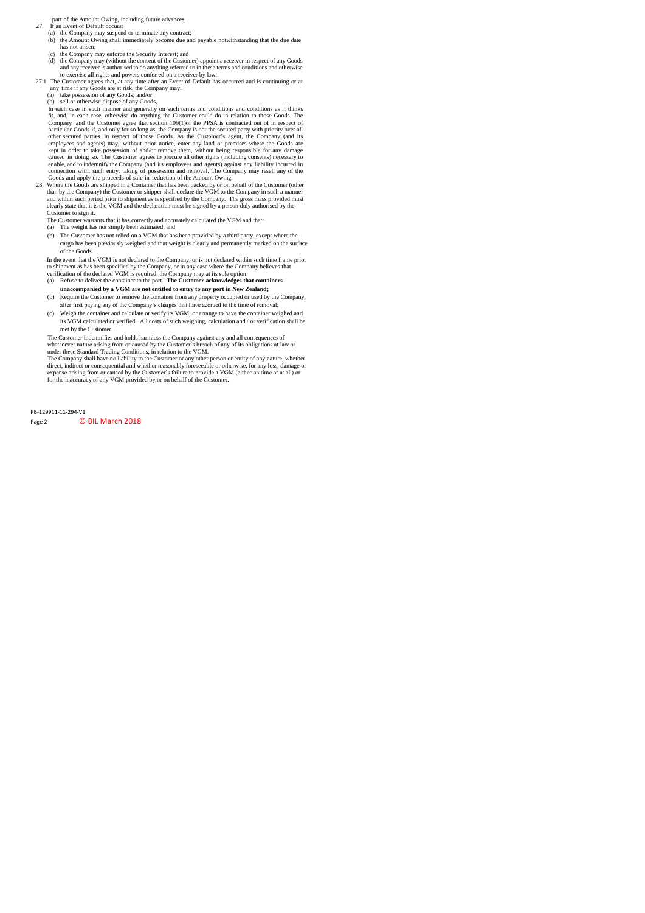part of the Amount Owing, including future advances.

- 27 If an Event of Default occurs:
	- (a) the Company may suspend or terminate any contract; (b) the Amount Owing shall immediately become due and payable notwithstanding that the due date has not arisen;
	- (c) the Company may enforce the Security Interest; and
	- (d) the Company may (without the consent of the Customer) appoint a receiver in respect of any Goods and any receiver is authorised to do anything referred to in these terms and conditions and otherwise to exercise all rights and powers conferred on a receiver by law.
- 27.1 The Customer agrees that, at any time after an Event of Default has occurred and is continuing or at any time if any Goods are at risk, the Company may:
	- (a) take possession of any Goods; and/or
	- (b) sell or otherwise dispose of any Goods,

In each case in such manner and generally on such terms and conditions and conditions as it thinks fit, and, in each case, otherwise do anything the Customer could do in relation to those Goods. The Company and the Customer agree that section 109(1)of the PPSA is contracted out of in respect of particular Goods if, and only for so long as, the Company is not the secured party with priority over all other secured parties in respect of those Goods. As the Customer's agent, the Company (and its employees and agents) may, without prior notice, enter any land or premises where the Goods are kept in order to take possession of and/or remove them, without being responsible for any damage caused in doing so. The Customer agrees to procure all other rights (including consents) necessary to enable, and to indemnify the Company (and its employees and agents) against any liability incurred in connection with, such entry, taking of possession and removal. The Company may resell any of the Goods and apply the proceeds of sale in reduction of the Amount Owing.

28 Where the Goods are shipped in a Container that has been packed by or on behalf of the Customer (other than by the Company) the Customer or shipper shall declare the VGM to the Company in such a manner and within such period prior to shipment as is specified by the Company. The gross mass provided must clearly state that it is the VGM and the declaration must be signed by a person duly authorised by the Customer to sign it.

- The Customer warrants that it has correctly and accurately calculated the VGM and that:
- (a) The weight has not simply been estimated; and
- (b) The Customer has not relied on a VGM that has been provided by a third party, except where the cargo has been previously weighed and that weight is clearly and permanently marked on the surface of the Goods.

In the event that the VGM is not declared to the Company, or is not declared within such time frame prior to shipment as has been specified by the Company, or in any case where the Company believes that verification of the declared VGM is required, the Company may at its sole option:

- (a) Refuse to deliver the container to the port. **The Customer acknowledges that containers unaccompanied by a VGM are not entitled to entry to any port in New Zealand;**
- (b) Require the Customer to remove the container from any property occupied or used by the Company, after first paying any of the Company's charges that have accrued to the time of removal;
- (c) Weigh the container and calculate or verify its VGM, or arrange to have the container weighed and its VGM calculated or verified. All costs of such weighing, calculation and / or verification shall be met by the Customer.

The Customer indemnifies and holds harmless the Company against any and all consequences of whatsoever nature arising from or caused by the Customer's breach of any of its obligations at law or under these Standard Trading Conditions, in relation to the VGM.

The Company shall have no liability to the Customer or any other person or entity of any nature, whether direct, indirect or consequential and whether reasonably foreseeable or otherwise, for any loss, damage or expense arising from or caused by the Customer's failure to provide a VGM (either on time or at all) or for the inaccuracy of any VGM provided by or on behalf of the Customer.

PB-129911-11-294-V1 Page 2 **C BIL March 2018**